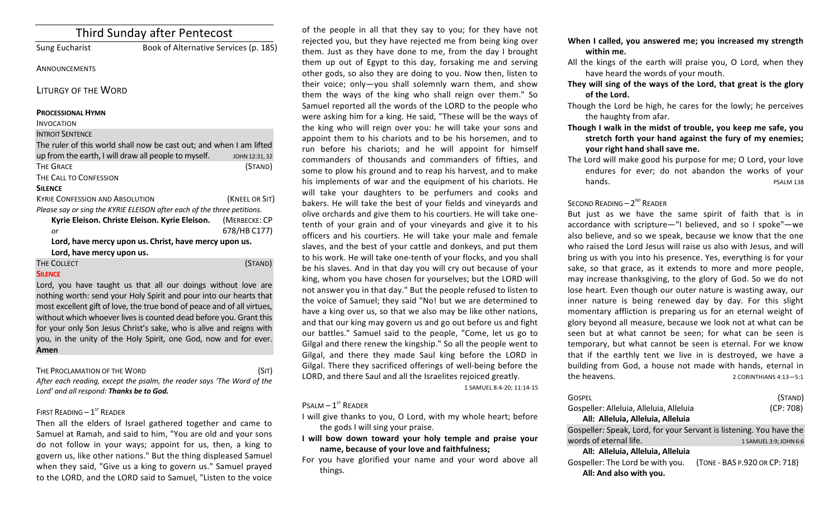| <b>Third Sunday after Pentecost</b>                                     |                |  |
|-------------------------------------------------------------------------|----------------|--|
| <b>Sung Eucharist</b><br>Book of Alternative Services (p. 185)          |                |  |
| ANNOUNCEMENTS                                                           |                |  |
| <b>LITURGY OF THE WORD</b>                                              |                |  |
| <b>PROCESSIONAL HYMN</b>                                                |                |  |
| <b>INVOCATION</b>                                                       |                |  |
| <b>INTROIT SENTENCE</b>                                                 |                |  |
| The ruler of this world shall now be cast out; and when I am lifted     |                |  |
| up from the earth, I will draw all people to myself.                    | JOHN 12:31, 32 |  |
| <b>THE GRACE</b>                                                        | (STAND)        |  |
| THE CALL TO CONFESSION                                                  |                |  |
| <b>SILENCE</b>                                                          |                |  |
| <b>KYRIF CONFESSION AND ABSOLUTION</b>                                  | (KNEEL OR SIT) |  |
| Please say or sing the KYRIE ELEISON after each of the three petitions. |                |  |
| Kyrie Eleison. Christe Eleison. Kyrie Eleison.                          | (MERBECKE: CP  |  |
| or                                                                      | 678/HB C177)   |  |
| Lord, have mercy upon us. Christ, have mercy upon us.                   |                |  |
| Lord, have mercy upon us.                                               |                |  |
| THE COLLECT                                                             | (STAND)        |  |
| <b>SILENCE</b>                                                          |                |  |
| Lord, you have taught us that all our doings without love are           |                |  |
| nothing worth: send your Holy Spirit and pour into our hearts that      |                |  |
| most excellent gift of love, the true bond of peace and of all virtues, |                |  |

without which whoever lives is counted dead before you. Grant this for your only Son Jesus Christ's sake, who is alive and reigns with you, in the unity of the Holy Spirit, one God, now and for ever. **Amen**

THE PROCLAMATION OF THE WORD (SIT)

After each reading, except the psalm, the reader says 'The Word of the Lord' and all respond: Thanks be to God.

## FIRST READING  $-1<sup>ST</sup>$  READER

Then all the elders of Israel gathered together and came to Samuel at Ramah, and said to him, "You are old and your sons do not follow in your ways; appoint for us, then, a king to govern us, like other nations." But the thing displeased Samuel when they said, "Give us a king to govern us." Samuel prayed to the LORD, and the LORD said to Samuel, "Listen to the voice

of the people in all that they say to you; for they have not rejected you, but they have rejected me from being king over them. Just as they have done to me, from the day I brought them up out of Egypt to this day, forsaking me and serving other gods, so also they are doing to you. Now then, listen to their voice; only-you shall solemnly warn them, and show them the ways of the king who shall reign over them." So Samuel reported all the words of the LORD to the people who were asking him for a king. He said, "These will be the ways of the king who will reign over you: he will take your sons and appoint them to his chariots and to be his horsemen, and to run before his chariots; and he will appoint for himself commanders of thousands and commanders of fifties, and some to plow his ground and to reap his harvest, and to make his implements of war and the equipment of his chariots. He will take your daughters to be perfumers and cooks and bakers. He will take the best of your fields and vineyards and olive orchards and give them to his courtiers. He will take onetenth of your grain and of your vineyards and give it to his officers and his courtiers. He will take your male and female slaves, and the best of your cattle and donkeys, and put them to his work. He will take one-tenth of your flocks, and you shall be his slaves. And in that day you will cry out because of your king, whom you have chosen for yourselves; but the LORD will not answer you in that day." But the people refused to listen to the voice of Samuel; they said "No! but we are determined to have a king over us, so that we also may be like other nations, and that our king may govern us and go out before us and fight our battles." Samuel said to the people, "Come, let us go to Gilgal and there renew the kingship." So all the people went to Gilgal, and there they made Saul king before the LORD in Gilgal. There they sacrificed offerings of well-being before the LORD, and there Saul and all the Israelites rejoiced greatly.

1 SAMUEL 8:4-20; 11:14-15

# $P$ SALM –  $1<sup>ST</sup>$  READER

I will give thanks to you, O Lord, with my whole heart; before the gods I will sing your praise.

I will bow down toward your holy temple and praise your name, because of your love and faithfulness;

For you have glorified your name and your word above all things. 

- When I called, you answered me; you increased my strength within me.
- All the kings of the earth will praise you, O Lord, when they have heard the words of your mouth.
- They will sing of the ways of the Lord, that great is the glory of the Lord.
- Though the Lord be high, he cares for the lowly; he perceives the haughty from afar.
- Though I walk in the midst of trouble, you keep me safe, you stretch forth your hand against the fury of my enemies; **your right hand shall save me.**
- The Lord will make good his purpose for me; O Lord, your love endures for ever; do not abandon the works of your hands. The contract of the contract of the position of the pSALM 138

# SECOND READING  $- 2<sup>ND</sup>$  READER

But just as we have the same spirit of faith that is in accordance with scripture—"I believed, and so I spoke"—we also believe, and so we speak, because we know that the one who raised the Lord Jesus will raise us also with Jesus, and will bring us with you into his presence. Yes, everything is for your sake, so that grace, as it extends to more and more people, may increase thanksgiving, to the glory of God. So we do not lose heart. Even though our outer nature is wasting away, our inner nature is being renewed day by day. For this slight momentary affliction is preparing us for an eternal weight of glory beyond all measure, because we look not at what can be seen but at what cannot be seen; for what can be seen is temporary, but what cannot be seen is eternal. For we know that if the earthly tent we live in is destroyed, we have a building from God, a house not made with hands, eternal in the heavens. The heavens are the set of the heavens.

| GOSPFI<br>Gospeller: Alleluia, Alleluia, Alleluia<br>All: Alleluia, Alleluia, Alleluia | (STAND)<br>(CP: 708)          |  |
|----------------------------------------------------------------------------------------|-------------------------------|--|
| Gospeller: Speak, Lord, for your Servant is listening. You have the                    |                               |  |
| words of eternal life.                                                                 | 1 SAMUEL 3:9; JOHN 6:6        |  |
| All: Alleluia, Alleluia, Alleluia                                                      |                               |  |
| Gospeller: The Lord be with you.<br>All: And also with you.                            | (TONE - BAS P.920 OR CP: 718) |  |